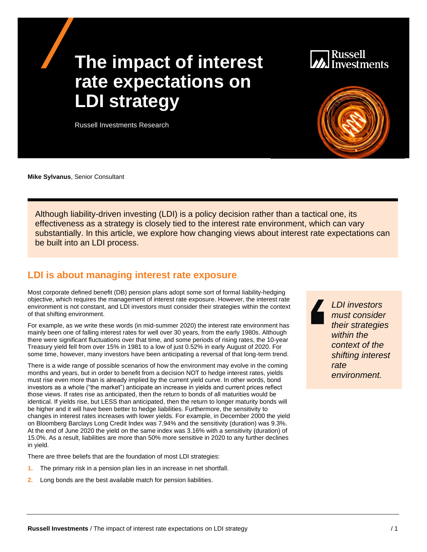# **The impact of interest rate expectations on LDI strategy**

Russell





Although liability-driven investing (LDI) is a policy decision rather than a tactical one, its effectiveness as a strategy is closely tied to the interest rate environment, which can vary substantially. In this article, we explore how changing views about interest rate expectations can be built into an LDI process.

### **LDI is about managing interest rate exposure**

Most corporate defined benefit (DB) pension plans adopt some sort of formal liability-hedging objective, which requires the management of interest rate exposure. However, the interest rate environment is not constant, and LDI investors must consider their strategies within the context of that shifting environment.

For example, as we write these words (in mid-summer 2020) the interest rate environment has mainly been one of falling interest rates for well over 30 years, from the early 1980s. Although there were significant fluctuations over that time, and some periods of rising rates, the 10-year Treasury yield fell from over 15% in 1981 to a low of just 0.52% in early August of 2020. For some time, however, many investors have been anticipating a reversal of that long-term trend.

There is a wide range of possible scenarios of how the environment may evolve in the coming months and years, but in order to benefit from a decision NOT to hedge interest rates, yields must rise even more than is already implied by the current yield curve. In other words, bond investors as a whole ("the market") anticipate an increase in yields and current prices reflect those views. If rates rise as anticipated, then the return to bonds of all maturities would be identical. If yields rise, but LESS than anticipated, then the return to longer maturity bonds will be higher and it will have been better to hedge liabilities. Furthermore, the sensitivity to changes in interest rates increases with lower yields. For example, in December 2000 the yield on Bloomberg Barclays Long Credit Index was 7.94% and the sensitivity (duration) was 9.3%. At the end of June 2020 the yield on the same index was 3.16% with a sensitivity (duration) of 15.0%. As a result, liabilities are more than 50% more sensitive in 2020 to any further declines in yield.

There are three beliefs that are the foundation of most LDI strategies:

- **1.** The primary risk in a pension plan lies in an increase in net shortfall.
- **2.** Long bonds are the best available match for pension liabilities.

*LDI investors must consider their strategies within the context of the shifting interest rate environment.*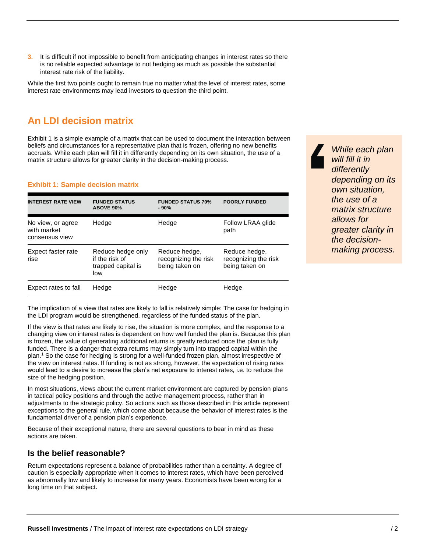**3.** It is difficult if not impossible to benefit from anticipating changes in interest rates so there is no reliable expected advantage to not hedging as much as possible the substantial interest rate risk of the liability.

While the first two points ought to remain true no matter what the level of interest rates, some interest rate environments may lead investors to question the third point.

## **An LDI decision matrix**

Exhibit 1 is a simple example of a matrix that can be used to document the interaction between beliefs and circumstances for a representative plan that is frozen, offering no new benefits accruals. While each plan will fill it in differently depending on its own situation, the use of a matrix structure allows for greater clarity in the decision-making process.

#### **Exhibit 1: Sample decision matrix**

| <b>INTEREST RATE VIEW</b>                          | <b>FUNDED STATUS</b><br><b>ABOVE 90%</b>                         | <b>FUNDED STATUS 70%</b><br>- 90%                       | <b>POORLY FUNDED</b>                                    |
|----------------------------------------------------|------------------------------------------------------------------|---------------------------------------------------------|---------------------------------------------------------|
| No view, or agree<br>with market<br>consensus view | Hedge                                                            | Hedge                                                   | Follow LRAA glide<br>path                               |
| Expect faster rate<br>rise                         | Reduce hedge only<br>if the risk of<br>trapped capital is<br>low | Reduce hedge,<br>recognizing the risk<br>being taken on | Reduce hedge,<br>recognizing the risk<br>being taken on |
| Expect rates to fall                               | Hedge                                                            | Hedge                                                   | Hedge                                                   |

The implication of a view that rates are likely to fall is relatively simple: The case for hedging in the LDI program would be strengthened, regardless of the funded status of the plan.

If the view is that rates are likely to rise, the situation is more complex, and the response to a changing view on interest rates is dependent on how well funded the plan is. Because this plan is frozen, the value of generating additional returns is greatly reduced once the plan is fully funded. There is a danger that extra returns may simply turn into trapped capital within the plan.<sup>1</sup> So the case for hedging is strong for a well-funded frozen plan, almost irrespective of the view on interest rates. If funding is not as strong, however, the expectation of rising rates would lead to a desire to increase the plan's net exposure to interest rates, i.e. to reduce the size of the hedging position.

In most situations, views about the current market environment are captured by pension plans in tactical policy positions and through the active management process, rather than in adjustments to the strategic policy. So actions such as those described in this article represent exceptions to the general rule, which come about because the behavior of interest rates is the fundamental driver of a pension plan's experience.

Because of their exceptional nature, there are several questions to bear in mind as these actions are taken.

#### **Is the belief reasonable?**

Return expectations represent a balance of probabilities rather than a certainty. A degree of caution is especially appropriate when it comes to interest rates, which have been perceived as abnormally low and likely to increase for many years. Economists have been wrong for a long time on that subject.

*While each plan will fill it in differently depending on its own situation, the use of a matrix structure allows for greater clarity in the decisionmaking process.*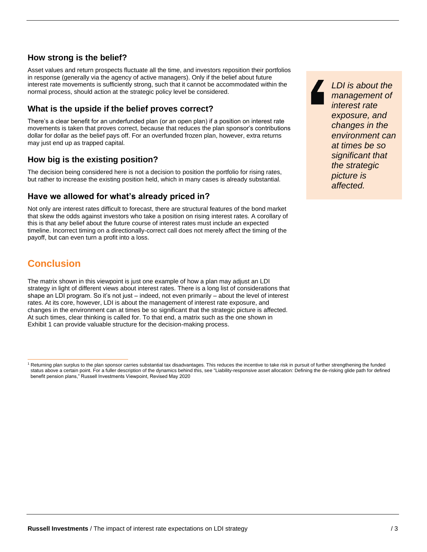#### **How strong is the belief?**

Asset values and return prospects fluctuate all the time, and investors reposition their portfolios in response (generally via the agency of active managers). Only if the belief about future interest rate movements is sufficiently strong, such that it cannot be accommodated within the normal process, should action at the strategic policy level be considered.

#### **What is the upside if the belief proves correct?**

There's a clear benefit for an underfunded plan (or an open plan) if a position on interest rate movements is taken that proves correct, because that reduces the plan sponsor's contributions dollar for dollar as the belief pays off. For an overfunded frozen plan, however, extra returns may just end up as trapped capital.

#### **How big is the existing position?**

The decision being considered here is not a decision to position the portfolio for rising rates, but rather to increase the existing position held, which in many cases is already substantial.

#### **Have we allowed for what's already priced in?**

Not only are interest rates difficult to forecast, there are structural features of the bond market that skew the odds against investors who take a position on rising interest rates. A corollary of this is that any belief about the future course of interest rates must include an expected timeline. Incorrect timing on a directionally-correct call does not merely affect the timing of the payoff, but can even turn a profit into a loss.

## **Conclusion**

The matrix shown in this viewpoint is just one example of how a plan may adjust an LDI strategy in light of different views about interest rates. There is a long list of considerations that shape an LDI program. So it's not just – indeed, not even primarily – about the level of interest rates. At its core, however, LDI is about the management of interest rate exposure, and changes in the environment can at times be so significant that the strategic picture is affected. At such times, clear thinking is called for. To that end, a matrix such as the one shown in Exhibit 1 can provide valuable structure for the decision-making process.

*LDI is about the management of interest rate exposure, and changes in the environment can at times be so significant that the strategic picture is affected.*

<sup>1</sup> Returning plan surplus to the plan sponsor carries substantial tax disadvantages. This reduces the incentive to take risk in pursuit of further strengthening the funded status above a certain point. For a fuller description of the dynamics behind this, see "Liability-responsive asset allocation: Defining the de-risking glide path for defined benefit pension plans," Russell Investments Viewpoint, Revised May 2020